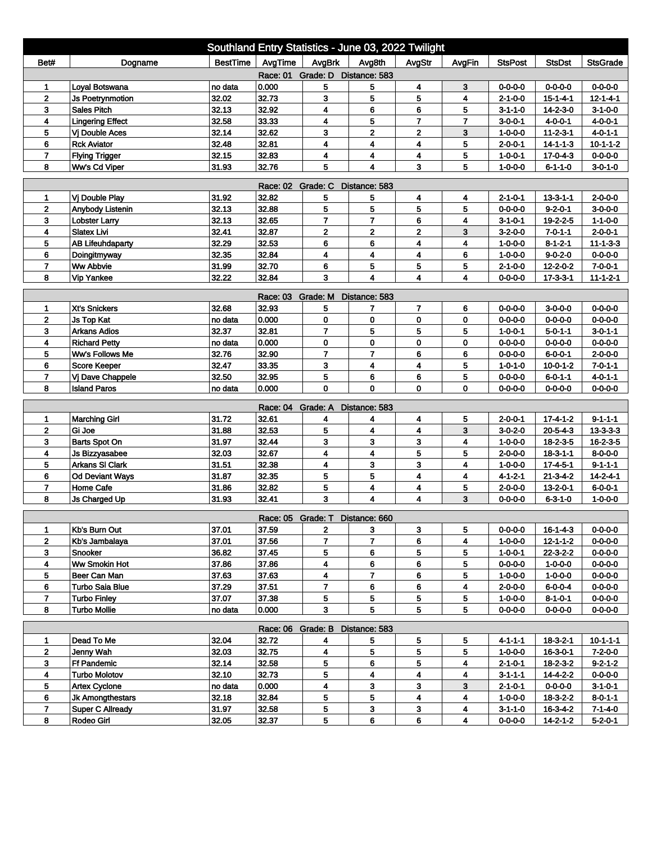| Southland Entry Statistics - June 03, 2022 Twilight                                                               |                         |                 |                            |                |                         |                         |        |                 |                  |                  |  |
|-------------------------------------------------------------------------------------------------------------------|-------------------------|-----------------|----------------------------|----------------|-------------------------|-------------------------|--------|-----------------|------------------|------------------|--|
| Bet#                                                                                                              | Dogname                 | <b>BestTime</b> | AvgTime                    | AvgBrk         | Avg8th                  | AvgStr                  | AvgFin | <b>StsPost</b>  | <b>StsDst</b>    | <b>StsGrade</b>  |  |
| Race: 01 Grade: D Distance: 583                                                                                   |                         |                 |                            |                |                         |                         |        |                 |                  |                  |  |
|                                                                                                                   | Loyal Botswana          | no data         | 0.000                      | 5              | 5                       | 4                       | 3      | $0 - 0 - 0 - 0$ | $0 - 0 - 0 - 0$  | $0 - 0 - 0 - 0$  |  |
| $\overline{2}$                                                                                                    | <b>Js Poetrynmotion</b> | 32.02           | 32.73                      | 3              | 5                       | 5                       | 4      | 2-1-0-0         | $15 - 1 - 4 - 1$ | $12 - 1 - 4 - 1$ |  |
| 3                                                                                                                 | <b>Sales Pitch</b>      | 32.13           | 32.92                      | 4              | 6                       | 6                       | 5      | $3 - 1 - 1 - 0$ | $14 - 2 - 3 - 0$ | $3-1-0-0$        |  |
| 4                                                                                                                 | <b>Lingering Effect</b> | 32.58           | 33.33                      | 4              | 5                       | $\overline{7}$          | 7      | $3 - 0 - 0 - 1$ | $4 - 0 - 0 - 1$  | 4-0-0-1          |  |
| 5                                                                                                                 | Vj Double Aces          | 32.14           | 32.62                      | 3              | $\overline{2}$          | $\mathbf{2}$            | 3      | $1 - 0 - 0 - 0$ | $11 - 2 - 3 - 1$ | $4 - 0 - 1 - 1$  |  |
| 6                                                                                                                 | <b>Rck Aviator</b>      | 32.48           | 32.81                      | 4              | 4                       | 4                       | 5      | $2 - 0 - 0 - 1$ | $14 - 1 - 1 - 3$ | $10 - 1 - 1 - 2$ |  |
| $\overline{7}$                                                                                                    | <b>Flying Trigger</b>   | 32.15           | 32.83                      | 4              | 4                       | 4                       | 5      | $1 - 0 - 0 - 1$ | $17 - 0 - 4 - 3$ | $0 - 0 - 0 - 0$  |  |
| 5<br>5<br>8<br>31.93<br>32.76<br>4<br>3<br>Ww's Cd Viper<br>$1 - 0 - 0 - 0$<br>$6 - 1 - 1 - 0$<br>$3 - 0 - 1 - 0$ |                         |                 |                            |                |                         |                         |        |                 |                  |                  |  |
| Race: 02 Grade: C<br>Distance: 583                                                                                |                         |                 |                            |                |                         |                         |        |                 |                  |                  |  |
| 1                                                                                                                 | Vi Double Play          | 31.92           | 32.82                      | 5              | 5                       | 4                       | 4      | 2-1-0-1         | $13 - 3 - 1 - 1$ | $2 - 0 - 0 - 0$  |  |
| $\overline{2}$                                                                                                    | Anybody Listenin        | 32.13           | 32.88                      | 5              | 5                       | 5                       | 5      | $0 - 0 - 0 - 0$ | $9 - 2 - 0 - 1$  | $3 - 0 - 0 - 0$  |  |
| 3                                                                                                                 | <b>Lobster Larry</b>    | 32.13           | 32.65                      | $\overline{7}$ | $\overline{7}$          | 6                       | 4      | $3 - 1 - 0 - 1$ | $19 - 2 - 2 - 5$ | $1 - 1 - 0 - 0$  |  |
| 4                                                                                                                 | <b>Slatex Livi</b>      | 32.41           | 32.87                      | $\mathbf 2$    | $\mathbf 2$             | $\overline{2}$          | 3      | $3-2-0-0$       | $7 - 0 - 1 - 1$  | $2 - 0 - 0 - 1$  |  |
| 5                                                                                                                 | <b>AB Lifeuhdaparty</b> | 32.29           | 32.53                      | 6              | 6                       | 4                       | 4      | $1 - 0 - 0 - 0$ | $8 - 1 - 2 - 1$  | $11 - 1 - 3 - 3$ |  |
| 6                                                                                                                 | Doingitmyway            | 32.35           | 32.84                      | 4              | 4                       | 4                       | 6      | $1 - 0 - 0 - 0$ | $9 - 0 - 2 - 0$  | $0 - 0 - 0 - 0$  |  |
| $\overline{7}$                                                                                                    | <b>Ww Abbvie</b>        | 31.99           | 32.70                      | 6              | 5                       | 5                       | 5      | $2 - 1 - 0 - 0$ | 12-2-0-2         | $7 - 0 - 0 - 1$  |  |
| 8                                                                                                                 | <b>Vip Yankee</b>       | 32.22           | 32.84                      | 3              | $\overline{\mathbf{4}}$ | 4                       | 4      | $0 - 0 - 0 - 0$ | $17 - 3 - 3 - 1$ | $11 - 1 - 2 - 1$ |  |
| Race: 03 Grade: M<br>Distance: 583                                                                                |                         |                 |                            |                |                         |                         |        |                 |                  |                  |  |
| 1                                                                                                                 | Xt's Snickers           | 32.68           | 32.93                      | 5              | 7                       | $\overline{7}$          | 6      | $0 - 0 - 0 - 0$ | $3 - 0 - 0 - 0$  | $0 - 0 - 0 - 0$  |  |
| 2                                                                                                                 | <b>Js Top Kat</b>       | no data         | 0.000                      | 0              | 0                       | 0                       | 0      | $0 - 0 - 0 - 0$ | $0 - 0 - 0 - 0$  | $0 - 0 - 0 - 0$  |  |
| 3                                                                                                                 | <b>Arkans Adios</b>     | 32.37           | 32.81                      | $\overline{7}$ | 5                       | 5                       | 5      | $1 - 0 - 0 - 1$ | $5 - 0 - 1 - 1$  | $3 - 0 - 1 - 1$  |  |
| 4                                                                                                                 | <b>Richard Petty</b>    | no data         | 0.000                      | 0              | 0                       | 0                       | 0      | $0 - 0 - 0 - 0$ | $0 - 0 - 0 - 0$  | $0 - 0 - 0 - 0$  |  |
| 5                                                                                                                 | Ww's Follows Me         | 32.76           | 32.90                      | $\overline{7}$ | $\overline{7}$          | 6                       | 6      | $0 - 0 - 0 - 0$ | $6 - 0 - 0 - 1$  | $2 - 0 - 0 - 0$  |  |
| 6                                                                                                                 | <b>Score Keeper</b>     | 32.47           | 33.35                      | 3              | 4                       | 4                       | 5      | $1 - 0 - 1 - 0$ | $10 - 0 - 1 - 2$ | $7 - 0 - 1 - 1$  |  |
| $\overline{ }$                                                                                                    | Vj Dave Chappele        | 32.50           | 32.95                      | 5              | 6                       | 6                       | 5      | $0 - 0 - 0 - 0$ | $6 - 0 - 1 - 1$  | $4 - 0 - 1 - 1$  |  |
| 8                                                                                                                 | <b>Island Paros</b>     | no data         | 0.000                      | $\mathbf 0$    | 0                       | 0                       | 0      | $0 - 0 - 0 - 0$ | $0 - 0 - 0 - 0$  | $0 - 0 - 0 - 0$  |  |
|                                                                                                                   |                         |                 | Race: 04 Grade: A          |                | Distance: 583           |                         |        |                 |                  |                  |  |
| 1                                                                                                                 | <b>Marching Girl</b>    | 31.72           | 32.61                      | 4              | 4                       | 4                       | 5      | $2 - 0 - 0 - 1$ | $17 - 4 - 1 - 2$ | $9 - 1 - 1 - 1$  |  |
| $\overline{2}$                                                                                                    | Gi Joe                  | 31.88           | 32.53                      | 5              | $\overline{\mathbf{4}}$ | 4                       | 3      | $3 - 0 - 2 - 0$ | $20 - 5 - 4 - 3$ | $13 - 3 - 3 - 3$ |  |
| 3                                                                                                                 | <b>Barts Spot On</b>    | 31.97           | 32.44                      | 3              | 3                       | 3                       | 4      | $1 - 0 - 0 - 0$ | 18-2-3-5         | 16-2-3-5         |  |
| 4                                                                                                                 | <b>Js Bizzyasabee</b>   | 32.03           | 32.67                      | 4              | 4                       | 5                       | 5      | $2 - 0 - 0 - 0$ | $18 - 3 - 1 - 1$ | $8 - 0 - 0 - 0$  |  |
| 5                                                                                                                 | <b>Arkans SI Clark</b>  | 31.51           | 32.38                      | 4              | 3                       | 3                       | 4      | $1 - 0 - 0 - 0$ | $17 - 4 - 5 - 1$ | $9 - 1 - 1 - 1$  |  |
| 6                                                                                                                 | <b>Od Deviant Ways</b>  | 31.87           | 32.35                      | 5              | 5                       | 4                       | 4      | $4 - 1 - 2 - 1$ | $21 - 3 - 4 - 2$ | $14 - 2 - 4 - 1$ |  |
| $\overline{7}$                                                                                                    | Home Cafe               | 31.86           | 32.82                      | 5              | 4                       | 4                       | 5      | $2 - 0 - 0 - 0$ | $13 - 2 - 0 - 1$ | $6 - 0 - 0 - 1$  |  |
| 8                                                                                                                 | <b>Js Charged Up</b>    | 31.93           | 32.41                      | 3              | 4                       | 4                       | 3      | $0 - 0 - 0 - 0$ | 6-3-1-0          | $1 - 0 - 0 - 0$  |  |
|                                                                                                                   |                         |                 | Race: 05 Grade: T          |                | Distance: 660           |                         |        |                 |                  |                  |  |
| 1                                                                                                                 | Kb's Burn Out           | 37.01           | 37.59                      | 2              | 3                       | 3                       | 5      | 0-0-0-0         | 16-1-4-3         | 0-0-0-0          |  |
| $\mathbf{2}$                                                                                                      | Kb's Jambalaya          | 37.01           | 37.56                      | $\overline{7}$ | $\overline{7}$          | 6                       | 4      | 1-0-0-0         | $12 - 1 - 1 - 2$ | $0 - 0 - 0 - 0$  |  |
| 3                                                                                                                 | Snooker                 | 36.82           | 37.45                      | 5              | 6                       | 5                       | 5      | $1 - 0 - 0 - 1$ | $22 - 3 - 2 - 2$ | 0-0-0-0          |  |
| 4                                                                                                                 | <b>Ww Smokin Hot</b>    | 37.86           | 37.86                      | 4              | 6                       | 6                       | 5      | $0 - 0 - 0 - 0$ | $1 - 0 - 0 - 0$  | $0 - 0 - 0 - 0$  |  |
| 5                                                                                                                 | Beer Can Man            | 37.63           | 37.63                      | 4              | 7                       | 6                       | 5      | $1 - 0 - 0 - 0$ | $1 - 0 - 0 - 0$  | $0 - 0 - 0 - 0$  |  |
| 6                                                                                                                 | Turbo Saia Blue         | 37.29           | 37.51                      | 7              | 6                       | 6                       | 4      | $2 - 0 - 0 - 0$ | $6 - 0 - 0 - 4$  | $0 - 0 - 0 - 0$  |  |
| $\overline{7}$                                                                                                    | <b>Turbo Finley</b>     | 37.07           | 37.38                      | 5              | 5                       | 5                       | 5      | $1 - 0 - 0 - 0$ | $8 - 1 - 0 - 1$  | $0 - 0 - 0 - 0$  |  |
| 8                                                                                                                 | <b>Turbo Mollie</b>     | no data         | 0.000                      | 3              | 5                       | 5                       | 5      | $0 - 0 - 0 - 0$ | $0 - 0 - 0 - 0$  | $0 - 0 - 0 - 0$  |  |
|                                                                                                                   |                         |                 |                            |                |                         |                         |        |                 |                  |                  |  |
| 1                                                                                                                 | Dead To Me              | 32.04           | Race: 06 Grade: B<br>32.72 | 4              | Distance: 583<br>5      | 5                       | 5      | 4-1-1-1         | $18-3-2-1$       | $10 - 1 - 1 - 1$ |  |
| $\mathbf{2}$                                                                                                      | Jenny Wah               | 32.03           | 32.75                      | 4              | 5                       | 5                       | 5      | $1 - 0 - 0 - 0$ | $16 - 3 - 0 - 1$ | $7-2-0-0$        |  |
| 3                                                                                                                 | Ff Pandemic             | 32.14           | 32.58                      | 5              | 6                       | 5                       | 4      | $2 - 1 - 0 - 1$ | $18 - 2 - 3 - 2$ | $9 - 2 - 1 - 2$  |  |
| $\overline{\mathbf{4}}$                                                                                           | <b>Turbo Molotov</b>    | 32.10           | 32.73                      | 5              | 4                       | $\overline{\mathbf{4}}$ | 4      | $3 - 1 - 1 - 1$ | 14-4-2-2         | $0 - 0 - 0 - 0$  |  |
| 5                                                                                                                 | <b>Artex Cyclone</b>    | no data         | 0.000                      | 4              | 3                       | 3                       | 3      | $2 - 1 - 0 - 1$ | $0 - 0 - 0 - 0$  | $3 - 1 - 0 - 1$  |  |
| 6                                                                                                                 | Jk Amongthestars        | 32.18           | 32.84                      | 5              | 5                       | 4                       | 4      | $1 - 0 - 0 - 0$ | $18 - 3 - 2 - 2$ | $8 - 0 - 1 - 1$  |  |
| 7                                                                                                                 | <b>Super C Allready</b> | 31.97           | 32.58                      | 5              | 3                       | 3                       | 4      | $3 - 1 - 1 - 0$ | 16-3-4-2         | $7 - 1 - 4 - 0$  |  |
| 8                                                                                                                 | Rodeo Girl              | 32.05           | 32.37                      | 5              | 6                       | 6                       | 4      | $0 - 0 - 0 - 0$ | $14 - 2 - 1 - 2$ | $5 - 2 - 0 - 1$  |  |
|                                                                                                                   |                         |                 |                            |                |                         |                         |        |                 |                  |                  |  |